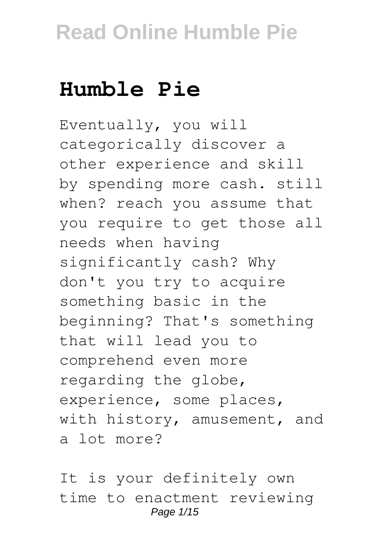# **Humble Pie**

Eventually, you will categorically discover a other experience and skill by spending more cash. still when? reach you assume that you require to get those all needs when having significantly cash? Why don't you try to acquire something basic in the beginning? That's something that will lead you to comprehend even more regarding the globe, experience, some places, with history, amusement, and a lot more?

It is your definitely own time to enactment reviewing Page 1/15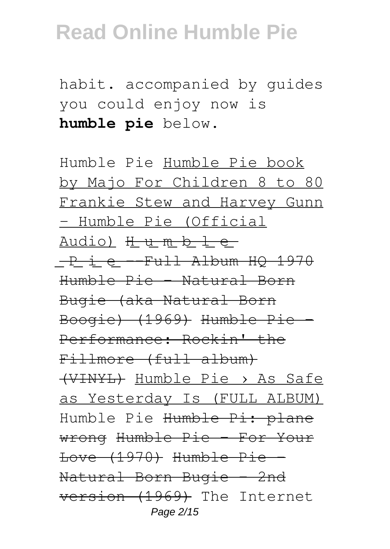habit. accompanied by guides you could enjoy now is **humble pie** below.

Humble Pie Humble Pie book by Majo For Children 8 to 80 Frankie Stew and Harvey Gunn - Humble Pie (Official Audio) H u m b l e ͟P͟i͟e͟--Full Album HQ 1970 Humble Pie - Natural Born Bugie (aka Natural Born Boogie) (1969) Humble Pie - Performance: Rockin' the Fillmore (full album) (VINYL) Humble Pie › As Safe as Yesterday Is (FULL ALBUM) Humble Pie Humble Pi: plane wrong Humble Pie - For Your Love (1970) Humble Pie - Natural Born Bugie - 2nd version (1969) The Internet Page 2/15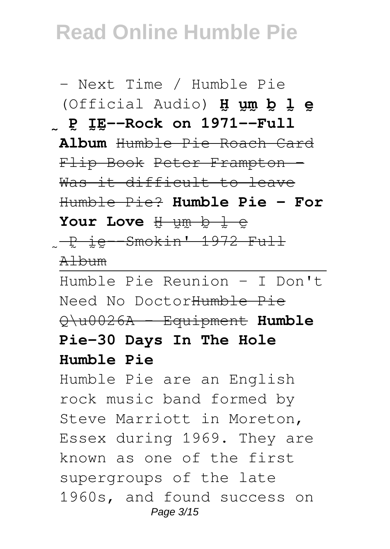- Next Time / Humble Pie (Official Audio) **H̰ṵm̰b̰l̰ḛ** P IE--Rock on 1971--Full **Album** Humble Pie Roach Card Flip Book Peter Frampton - Was it difficult to leave Humble Pie? **Humble Pie - For** Your Love H um b l e P<sub>ie</sub>-Smokin' 1972 Full Album Humble Pie Reunion - I Don't Need No DoctorHumble Pie Q\u0026A - Equipment **Humble Pie-30 Days In The Hole Humble Pie** Humble Pie are an English rock music band formed by Steve Marriott in Moreton, Essex during 1969. They are known as one of the first supergroups of the late 1960s, and found success on

Page 3/15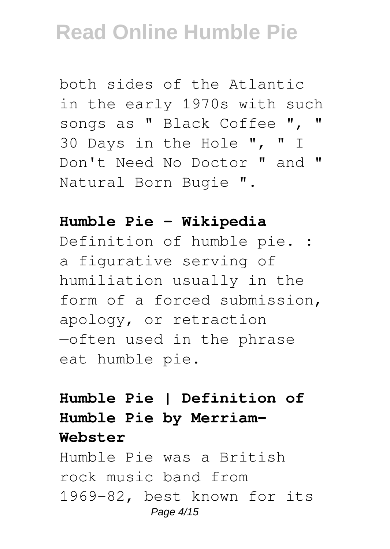both sides of the Atlantic in the early 1970s with such songs as " Black Coffee ", " 30 Days in the Hole ", " I Don't Need No Doctor " and " Natural Born Bugie ".

#### **Humble Pie - Wikipedia**

Definition of humble pie. : a figurative serving of humiliation usually in the form of a forced submission, apology, or retraction —often used in the phrase eat humble pie.

### **Humble Pie | Definition of Humble Pie by Merriam-Webster**

Humble Pie was a British rock music band from 1969-82, best known for its Page 4/15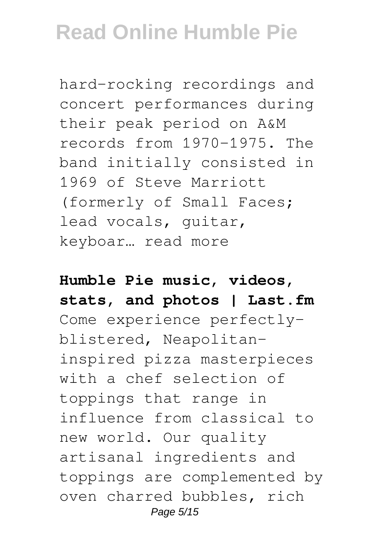hard-rocking recordings and concert performances during their peak period on A&M records from 1970-1975. The band initially consisted in 1969 of Steve Marriott (formerly of Small Faces; lead vocals, guitar, keyboar… read more

**Humble Pie music, videos, stats, and photos | Last.fm** Come experience perfectlyblistered, Neapolitaninspired pizza masterpieces with a chef selection of toppings that range in influence from classical to new world. Our quality artisanal ingredients and toppings are complemented by oven charred bubbles, rich Page 5/15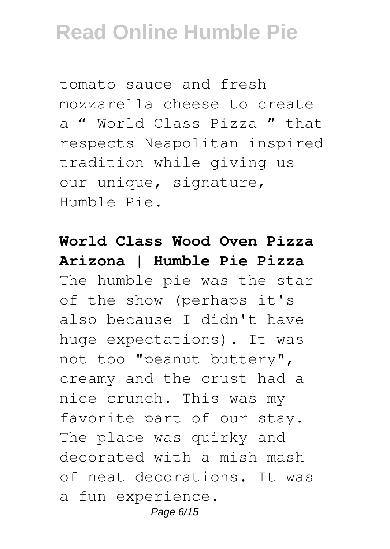tomato sauce and fresh mozzarella cheese to create a " World Class Pizza " that respects Neapolitan-inspired tradition while giving us our unique, signature, Humble Pie.

### **World Class Wood Oven Pizza Arizona | Humble Pie Pizza**

The humble pie was the star of the show (perhaps it's also because I didn't have huge expectations). It was not too "peanut-buttery", creamy and the crust had a nice crunch. This was my favorite part of our stay. The place was quirky and decorated with a mish mash of neat decorations. It was a fun experience. Page 6/15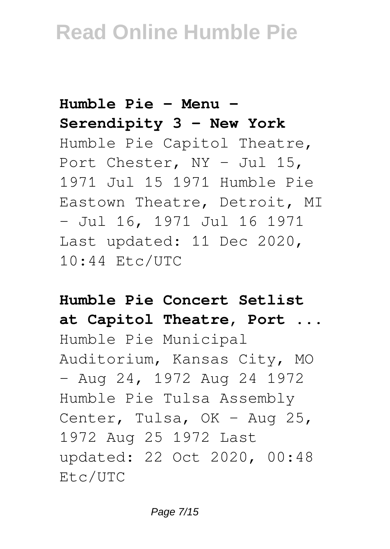**Humble Pie - Menu - Serendipity 3 - New York** Humble Pie Capitol Theatre, Port Chester, NY - Jul 15, 1971 Jul 15 1971 Humble Pie Eastown Theatre, Detroit, MI - Jul 16, 1971 Jul 16 1971 Last updated: 11 Dec 2020, 10:44 Etc/UTC

**Humble Pie Concert Setlist at Capitol Theatre, Port ...** Humble Pie Municipal Auditorium, Kansas City, MO - Aug 24, 1972 Aug 24 1972 Humble Pie Tulsa Assembly Center, Tulsa, OK - Aug 25, 1972 Aug 25 1972 Last updated: 22 Oct 2020, 00:48 Etc/UTC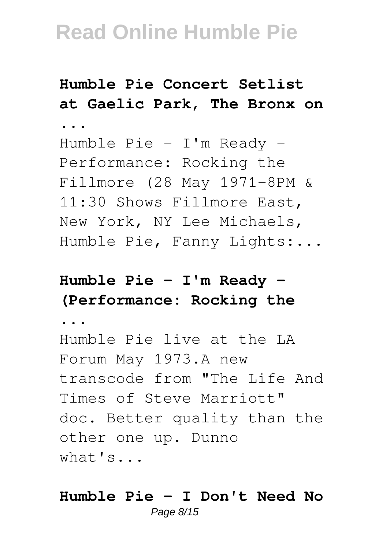### **Humble Pie Concert Setlist at Gaelic Park, The Bronx on**

Humble Pie - I'm Ready - Performance: Rocking the Fillmore (28 May 1971-8PM & 11:30 Shows Fillmore East, New York, NY Lee Michaels, Humble Pie, Fanny Lights:...

### **Humble Pie - I'm Ready - (Performance: Rocking the**

**...**

**...**

Humble Pie live at the LA Forum May 1973.A new transcode from "The Life And Times of Steve Marriott" doc. Better quality than the other one up. Dunno what's...

#### **Humble Pie - I Don't Need No** Page 8/15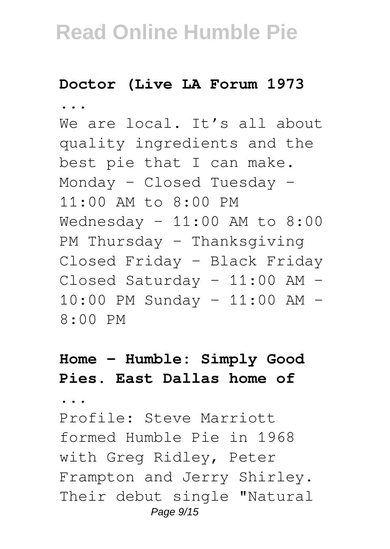#### **Doctor (Live LA Forum 1973**

**...**

We are local. It's all about quality ingredients and the best pie that I can make. Monday – Closed Tuesday – 11:00 AM to 8:00 PM Wednesday -  $11:00$  AM to  $8:00$ PM Thursday – Thanksgiving Closed Friday – Black Friday Closed Saturday – 11:00 AM – 10:00 PM Sunday – 11:00 AM – 8:00 PM

### **Home – Humble: Simply Good Pies. East Dallas home of**

**...**

Profile: Steve Marriott formed Humble Pie in 1968 with Greg Ridley, Peter Frampton and Jerry Shirley. Their debut single "Natural Page 9/15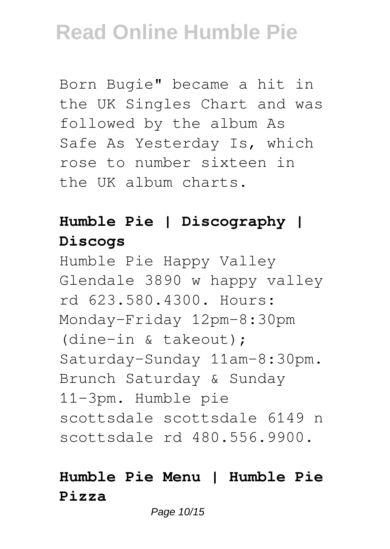Born Bugie" became a hit in the UK Singles Chart and was followed by the album As Safe As Yesterday Is, which rose to number sixteen in the UK album charts.

### **Humble Pie | Discography | Discogs**

Humble Pie Happy Valley Glendale 3890 w happy valley rd 623.580.4300. Hours: Monday-Friday 12pm-8:30pm (dine-in & takeout); Saturday-Sunday 11am-8:30pm. Brunch Saturday & Sunday 11-3pm. Humble pie scottsdale scottsdale 6149 n scottsdale rd 480.556.9900.

#### **Humble Pie Menu | Humble Pie Pizza**

Page 10/15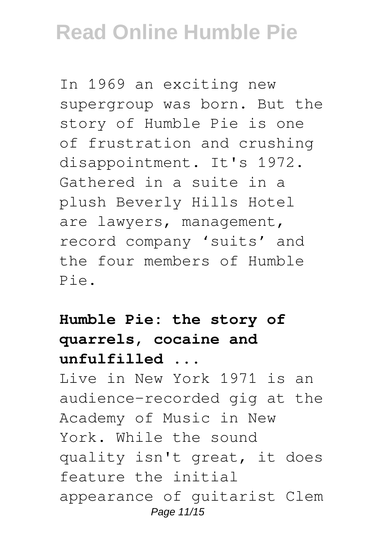In 1969 an exciting new supergroup was born. But the story of Humble Pie is one of frustration and crushing disappointment. It's 1972. Gathered in a suite in a plush Beverly Hills Hotel are lawyers, management, record company 'suits' and the four members of Humble Pie.

**Humble Pie: the story of quarrels, cocaine and unfulfilled ...** Live in New York 1971 is an audience-recorded gig at the Academy of Music in New York. While the sound quality isn't great, it does feature the initial appearance of guitarist Clem Page 11/15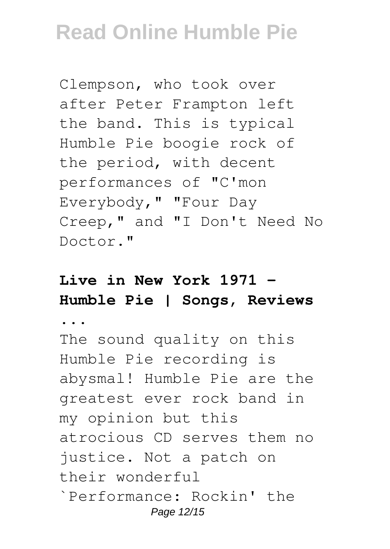Clempson, who took over after Peter Frampton left the band. This is typical Humble Pie boogie rock of the period, with decent performances of "C'mon Everybody," "Four Day Creep," and "I Don't Need No Doctor."

### **Live in New York 1971 - Humble Pie | Songs, Reviews**

**...**

The sound quality on this Humble Pie recording is abysmal! Humble Pie are the greatest ever rock band in my opinion but this atrocious CD serves them no justice. Not a patch on their wonderful `Performance: Rockin' the Page 12/15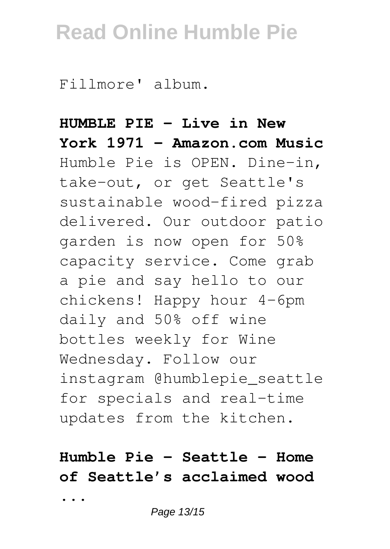Fillmore' album.

**HUMBLE PIE - Live in New York 1971 - Amazon.com Music** Humble Pie is OPEN. Dine-in, take-out, or get Seattle's sustainable wood-fired pizza delivered. Our outdoor patio garden is now open for 50% capacity service. Come grab a pie and say hello to our chickens! Happy hour 4-6pm daily and 50% off wine bottles weekly for Wine Wednesday. Follow our instagram @humblepie\_seattle for specials and real-time updates from the kitchen.

### **Humble Pie – Seattle – Home of Seattle's acclaimed wood ...**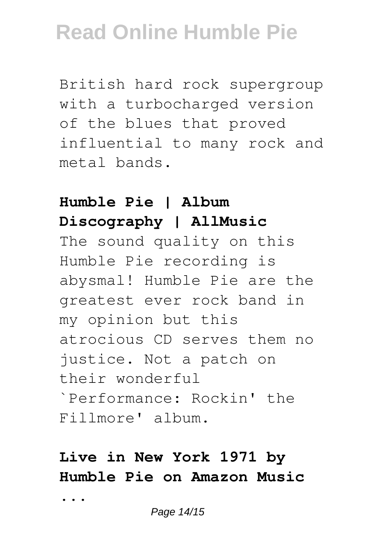British hard rock supergroup with a turbocharged version of the blues that proved influential to many rock and metal bands.

### **Humble Pie | Album Discography | AllMusic**

The sound quality on this Humble Pie recording is abysmal! Humble Pie are the greatest ever rock band in my opinion but this atrocious CD serves them no justice. Not a patch on their wonderful `Performance: Rockin' the Fillmore' album.

### **Live in New York 1971 by Humble Pie on Amazon Music**

**...**

Page 14/15